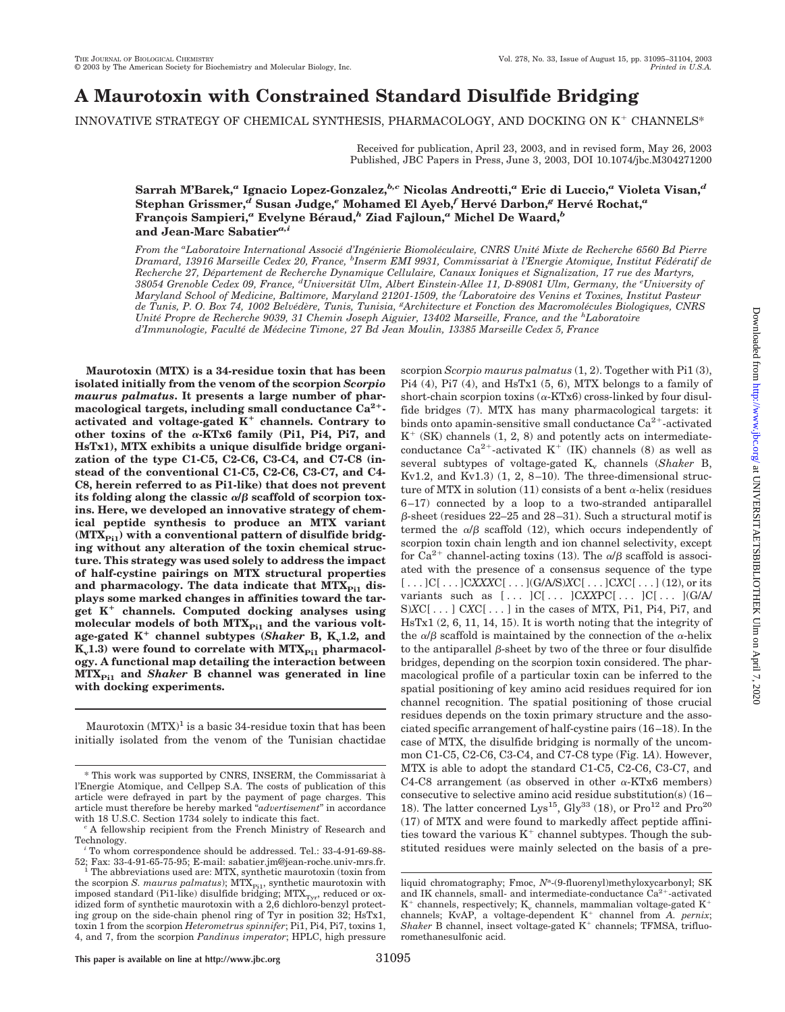# **A Maurotoxin with Constrained Standard Disulfide Bridging**

INNOVATIVE STRATEGY OF CHEMICAL SYNTHESIS, PHARMACOLOGY, AND DOCKING ON  $K^+$  CHANNELS\*

Received for publication, April 23, 2003, and in revised form, May 26, 2003 Published, JBC Papers in Press, June 3, 2003, DOI 10.1074/jbc.M304271200

# **Sarrah M'Barek,***<sup>a</sup>* **Ignacio Lopez-Gonzalez,***b,c* **Nicolas Andreotti,***<sup>a</sup>* **Eric di Luccio,***<sup>a</sup>* **Violeta Visan,***<sup>d</sup>* **Stephan Grissmer,***<sup>d</sup>* **Susan Judge,***<sup>e</sup>* **Mohamed El Ayeb,***<sup>f</sup>* **Herve´ Darbon,***<sup>g</sup>* **Herve´ Rochat,***<sup>a</sup>* **Franc¸ois Sampieri,***<sup>a</sup>* **Evelyne Be´raud,***<sup>h</sup>* **Ziad Fajloun,***<sup>a</sup>* **Michel De Waard,***<sup>b</sup>* **and Jean-Marc Sabatier***a,i*

*From the <sup>a</sup> Laboratoire International Associe´ d'Inge´nierie Biomole´culaire, CNRS Unite´ Mixte de Recherche 6560 Bd Pierre Dramard, 13916 Marseille Cedex 20, France, <sup>b</sup> Inserm EMI 9931, Commissariat a` l'Energie Atomique, Institut Fe´de´ratif de Recherche 27, De´partement de Recherche Dynamique Cellulaire, Canaux Ioniques et Signalization, 17 rue des Martyrs, 38054 Grenoble Cedex 09, France, <sup>d</sup> Universita¨t Ulm, Albert Einstein-Allee 11, D-89081 Ulm, Germany, the <sup>e</sup> University of Maryland School of Medicine, Baltimore, Maryland 21201-1509, the <sup>f</sup> Laboratoire des Venins et Toxines, Institut Pasteur de Tunis, P. O. Box 74, 1002 Belve´de`re, Tunis, Tunisia, <sup>g</sup> Architecture et Fonction des Macromole´cules Biologiques, CNRS Unite´ Propre de Recherche 9039, 31 Chemin Joseph Aiguier, 13402 Marseille, France, and the <sup>h</sup> Laboratoire d'Immunologie, Faculte´ de Me´decine Timone, 27 Bd Jean Moulin, 13385 Marseille Cedex 5, France*

**Maurotoxin (MTX) is a 34-residue toxin that has been isolated initially from the venom of the scorpion** *Scorpio maurus palmatus***. It presents a large number of pharmacological targets, including small conductance Ca2** activated and voltage-gated  $K^+$  channels. Contrary to other toxins of the  $\alpha$ -KTx6 family (Pi1, Pi4, Pi7, and **HsTx1), MTX exhibits a unique disulfide bridge organization of the type C1-C5, C2-C6, C3-C4, and C7-C8 (instead of the conventional C1-C5, C2-C6, C3-C7, and C4- C8, herein referred to as Pi1-like) that does not prevent** its folding along the classic  $\alpha/\beta$  scaffold of scorpion tox**ins. Here, we developed an innovative strategy of chemical peptide synthesis to produce an MTX variant** (MTX<sub>Pi1</sub>) with a conventional pattern of disulfide bridg**ing without any alteration of the toxin chemical structure. This strategy was used solely to address the impact of half-cystine pairings on MTX structural properties** and pharmacology. The data indicate that MTX<sub>Pi1</sub> dis**plays some marked changes in affinities toward the target K channels. Computed docking analyses using** molecular models of both MTX<sub>Pi1</sub> and the various voltage-gated K<sup>+</sup> channel subtypes (*Shaker* B, K<sub>v</sub>1.2, and  $K_v1.3$ ) were found to correlate with  $MTX_{P_{11}}$  pharmacol**ogy. A functional map detailing the interaction between MTXPi1 and** *Shaker* **B channel was generated in line with docking experiments.**

Maurotoxin  $(MTX)^1$  is a basic 34-residue toxin that has been initially isolated from the venom of the Tunisian chactidae

scorpion *Scorpio maurus palmatus* (1, 2). Together with Pi1 (3), Pi4 (4), Pi7 (4), and HsTx1 (5, 6), MTX belongs to a family of short-chain scorpion toxins  $(\alpha$ -KTx6) cross-linked by four disulfide bridges (7). MTX has many pharmacological targets: it binds onto apamin-sensitive small conductance  $Ca^{2+}$ -activated  $K^+$  (SK) channels (1, 2, 8) and potently acts on intermediateconductance  $Ca^{2+}$ -activated K<sup>+</sup> (IK) channels (8) as well as several subtypes of voltage-gated K<sub>v</sub> channels (*Shaker* B, Kv1.2, and Kv1.3) (1, 2, 8–10). The three-dimensional structure of MTX in solution (11) consists of a bent  $\alpha$ -helix (residues 6–17) connected by a loop to a two-stranded antiparallel  $\beta$ -sheet (residues 22–25 and 28–31). Such a structural motif is termed the  $\alpha/\beta$  scaffold (12), which occurs independently of scorpion toxin chain length and ion channel selectivity, except for  $Ca^{2+}$  channel-acting toxins (13). The  $\alpha/\beta$  scaffold is associated with the presence of a consensus sequence of the type [ . . . ]C[ . . . ]C*XXX*C[ . . . ](G/A/S)*X*C[ . . . ]C*X*C[ . . . ] (12), or its variants such as [ . . . ]C[ . . . ]C*XX*PC[ . . . ]C[ . . . ](G/A/ S)*X*C[ . . . ] C*X*C[ . . . ] in the cases of MTX, Pi1, Pi4, Pi7, and HsTx1 (2, 6, 11, 14, 15). It is worth noting that the integrity of the  $\alpha/\beta$  scaffold is maintained by the connection of the  $\alpha$ -helix to the antiparallel  $\beta$ -sheet by two of the three or four disulfide bridges, depending on the scorpion toxin considered. The pharmacological profile of a particular toxin can be inferred to the spatial positioning of key amino acid residues required for ion channel recognition. The spatial positioning of those crucial residues depends on the toxin primary structure and the associated specific arrangement of half-cystine pairs (16–18). In the case of MTX, the disulfide bridging is normally of the uncommon C1-C5, C2-C6, C3-C4, and C7-C8 type (Fig. 1*A*). However, MTX is able to adopt the standard C1-C5, C2-C6, C3-C7, and C4-C8 arrangement (as observed in other  $\alpha$ -KTx6 members) consecutive to selective amino acid residue substitution(s) (16– 18). The latter concerned Lys<sup>15</sup>, Gly<sup>33</sup> (18), or  $Pro^{12}$  and  $Pro^{20}$ (17) of MTX and were found to markedly affect peptide affinities toward the various  $K^+$  channel subtypes. Though the substituted residues were mainly selected on the basis of a pre-

<sup>\*</sup> This work was supported by CNRS, INSERM, the Commissariat a` l'Energie Atomique, and Cellpep S.A. The costs of publication of this article were defrayed in part by the payment of page charges. This article must therefore be hereby marked "*advertisement*" in accordance

<sup>&</sup>lt;sup>c</sup> A fellowship recipient from the French Ministry of Research and Technology. *<sup>i</sup>* To whom correspondence should be addressed. Tel.: 33-4-91-69-88-

<sup>52;</sup> Fax: 33-4-91-65-75-95; E-mail: sabatier.jm@jean-roche.univ-mrs.fr. <sup>1</sup> The abbreviations used are: MTX, synthetic maurotoxin (toxin from

the scorpion *S. maurus palmatus*); MTX<sub>Pi1</sub>, synthetic maurotoxin with imposed standard (Pi1-like) disulfide bridging;  $MTX<sub>Tvr</sub>$ , reduced or oxidized form of synthetic maurotoxin with a 2,6 dichloro-benzyl protecting group on the side-chain phenol ring of Tyr in position 32; HsTx1, toxin 1 from the scorpion *Heterometrus spinnifer*; Pi1, Pi4, Pi7, toxins 1, 4, and 7, from the scorpion *Pandinus imperator*; HPLC, high pressure

liquid chromatography; Fmoc, N<sup>a</sup>-(9-fluorenyl)methyloxycarbonyl; SK and IK channels, small- and intermediate-conductance  $Ca^{2+}$ -activated  $K^+$  channels, respectively;  $K_v$  channels, mammalian voltage-gated  $K^+$ channels; KvAP, a voltage-dependent K<sup>+</sup> channel from *A. pernix*;  $Shaker$  B channel, insect voltage-gated  $K<sup>+</sup>$  channels; TFMSA, trifluoromethanesulfonic acid.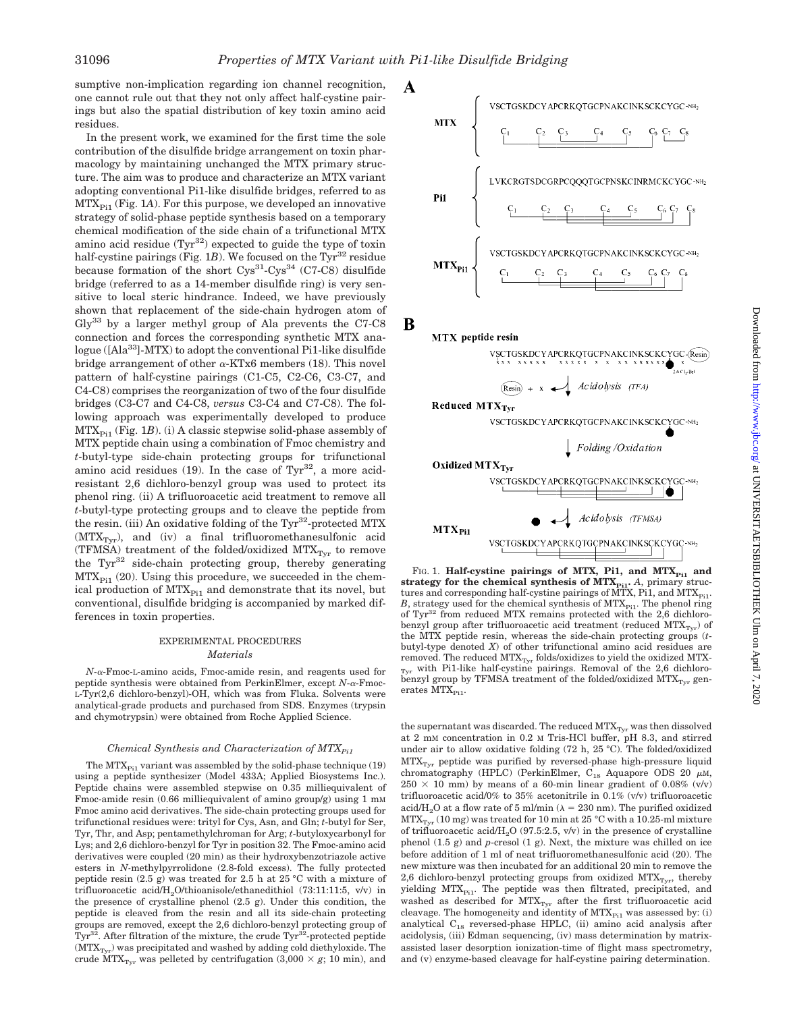sumptive non-implication regarding ion channel recognition, one cannot rule out that they not only affect half-cystine pairings but also the spatial distribution of key toxin amino acid residues.

In the present work, we examined for the first time the sole contribution of the disulfide bridge arrangement on toxin pharmacology by maintaining unchanged the MTX primary structure. The aim was to produce and characterize an MTX variant adopting conventional Pi1-like disulfide bridges, referred to as  $MTX_{p_{i1}}$  (Fig. 1A). For this purpose, we developed an innovative strategy of solid-phase peptide synthesis based on a temporary chemical modification of the side chain of a trifunctional MTX amino acid residue  $(Tyr^{32})$  expected to guide the type of toxin half-cystine pairings (Fig.  $1B$ ). We focused on the Tyr<sup>32</sup> residue because formation of the short  $Cys^{31}$ -Cys<sup>34</sup> (C7-C8) disulfide bridge (referred to as a 14-member disulfide ring) is very sensitive to local steric hindrance. Indeed, we have previously shown that replacement of the side-chain hydrogen atom of Gly33 by a larger methyl group of Ala prevents the C7-C8 connection and forces the corresponding synthetic MTX analogue ([Ala<sup>33</sup>]-MTX) to adopt the conventional Pi1-like disulfide bridge arrangement of other  $\alpha$ -KTx6 members (18). This novel pattern of half-cystine pairings (C1-C5, C2-C6, C3-C7, and C4-C8) comprises the reorganization of two of the four disulfide bridges (C3-C7 and C4-C8, *versus* C3-C4 and C7-C8). The following approach was experimentally developed to produce  $MTX_{P<sub>i1</sub>}$  (Fig. 1*B*). (i) A classic stepwise solid-phase assembly of MTX peptide chain using a combination of Fmoc chemistry and *t*-butyl-type side-chain protecting groups for trifunctional amino acid residues  $(19)$ . In the case of Tyr<sup>32</sup>, a more acidresistant 2,6 dichloro-benzyl group was used to protect its phenol ring. (ii) A trifluoroacetic acid treatment to remove all *t*-butyl-type protecting groups and to cleave the peptide from the resin. (iii) An oxidative folding of the  $\text{Tyr}^{32}$ -protected MTX  $(MTX<sub>Tvr</sub>)$ , and (iv) a final trifluoromethanesulfonic acid (TFMSA) treatment of the folded/oxidized  $MTX<sub>Tvr</sub>$  to remove the Tyr<sup>32</sup> side-chain protecting group, thereby generating  $MTX_{P11}$  (20). Using this procedure, we succeeded in the chemical production of  $MTX_{Pi1}$  and demonstrate that its novel, but conventional, disulfide bridging is accompanied by marked differences in toxin properties.

## EXPERIMENTAL PROCEDURES *Materials*

 $N-\alpha$ -Fmoc-L-amino acids, Fmoc-amide resin, and reagents used for peptide synthesis were obtained from PerkinElmer, except *N*-α-Fmoc-L-Tyr(2,6 dichloro-benzyl)-OH, which was from Fluka. Solvents were analytical-grade products and purchased from SDS. Enzymes (trypsin and chymotrypsin) were obtained from Roche Applied Science.

#### *Chemical Synthesis and Characterization of MTX* $_{Pi1}$

The  $MTX_{Pi1}$  variant was assembled by the solid-phase technique (19) using a peptide synthesizer (Model 433A; Applied Biosystems Inc.). Peptide chains were assembled stepwise on 0.35 milliequivalent of Fmoc-amide resin  $(0.66 \text{ milliequivalent of amino group/g})$  using 1 mM Fmoc amino acid derivatives. The side-chain protecting groups used for trifunctional residues were: trityl for Cys, Asn, and Gln; *t*-butyl for Ser, Tyr, Thr, and Asp; pentamethylchroman for Arg; *t*-butyloxycarbonyl for Lys; and 2,6 dichloro-benzyl for Tyr in position 32. The Fmoc-amino acid derivatives were coupled (20 min) as their hydroxybenzotriazole active esters in *N-*methylpyrrolidone (2.8-fold excess). The fully protected peptide resin  $(2.5 \text{ g})$  was treated for 2.5 h at 25 °C with a mixture of trifluoroacetic acid/ $H<sub>2</sub>O/thioanisole/ethane dithiol$  (73:11:11:5, v/v) in the presence of crystalline phenol  $(2.5 \text{ g})$ . Under this condition, the peptide is cleaved from the resin and all its side-chain protecting groups are removed, except the 2,6 dichloro-benzyl protecting group of  $Tyr^{32}$ . After filtration of the mixture, the crude  $Tyr^{32}$ -protected peptide  $(MTX<sub>Tvr</sub>)$  was precipitated and washed by adding cold diethyloxide. The crude  $MTX<sub>Tyr</sub>$  was pelleted by centrifugation (3,000  $\times$  *g*; 10 min), and



B



FIG. 1. **Half-cystine pairings of MTX, Pi1, and MTX**<sub>Pi1</sub> and strategy for the chemical synthesis of  $MTX_{Pi1}$ . *A*, primary structures and corresponding half-cystine pairings of MTX, Pi1, and MTX $_{\rm{Pi}}$ . *B*, strategy used for the chemical synthesis of  $MTX_{Pi1}$ . The phenol ring of Tyr<sup>32</sup> from reduced MTX remains protected with the 2,6 dichlorobenzyl group after trifluoroacetic acid treatment (reduced  $\text{MTX}_{\text{Tyr}}$  ) of the MTX peptide resin, whereas the side-chain protecting groups (*t*butyl-type denoted *X*) of other trifunctional amino acid residues are removed. The reduced  $\rm{MTX_{Tyr}}$  folds/oxidizes to yield the oxidized MTX- $_{\rm{Tyr}}$  with Pi1-like half-cystine pairings. Removal of the 2,6 dichlorobenzyl group by TFMSA treatment of the folded/oxidized  $MTX<sub>Tvr</sub>$  generates  $\overline{\text{MTX}}_{\text{Pi}}$ .

the supernatant was discarded. The reduced  $\mathrm{MTX}_{\mathrm{Tyr}}$  was then dissolved at 2 mM concentration in 0.2 M Tris-HCl buffer, pH 8.3, and stirred under air to allow oxidative folding (72 h, 25 °C). The folded/oxidized MTX<sub>Tyr</sub> peptide was purified by reversed-phase high-pressure liquid chromatography (HPLC) (PerkinElmer,  $C_{18}$  Aquapore ODS 20  $\mu$ M,  $250 \times 10$  mm) by means of a 60-min linear gradient of 0.08% (v/v) trifluoroacetic acid/0% to 35% acetonitrile in 0.1% (v/v) trifluoroacetic acid/H<sub>2</sub>O at a flow rate of 5 ml/min ( $\lambda = 230$  nm). The purified oxidized  $MTX_{Tyr}$  (10 mg) was treated for 10 min at 25 °C with a 10.25-ml mixture of trifluoroacetic acid/ $H<sub>2</sub>O$  (97.5:2.5, v/v) in the presence of crystalline phenol (1.5 g) and *p*-cresol (1 g). Next, the mixture was chilled on ice before addition of 1 ml of neat trifluoromethanesulfonic acid (20). The new mixture was then incubated for an additional 20 min to remove the 2,6 dichloro-benzyl protecting groups from oxidized  $MTX<sub>Tvr</sub>$ , thereby yielding MTX<sub>Pi1</sub>. The peptide was then filtrated, precipitated, and washed as described for  $MTX<sub>Tvr</sub>$  after the first trifluoroacetic acid cleavage. The homogeneity and identity of  $MTX_{Pi1}$  was assessed by: (i) analytical C18 reversed-phase HPLC, (ii) amino acid analysis after acidolysis, (iii) Edman sequencing, (iv) mass determination by matrixassisted laser desorption ionization-time of flight mass spectrometry, and (v) enzyme-based cleavage for half-cystine pairing determination.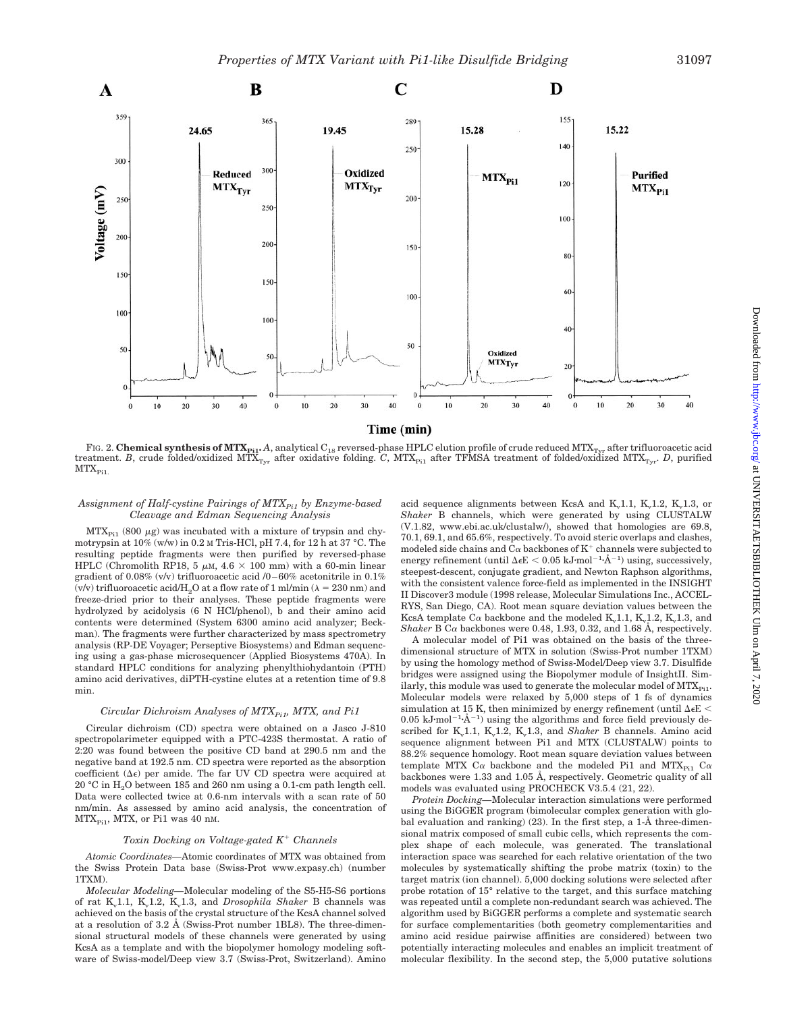

FIG. 2. **Chemical synthesis of MTX**<sub>Pi1</sub>. *A*, analytical C<sub>18</sub> reversed-phase HPLC elution profile of crude reduced MTX<sub>Tyr</sub> after trifluoroacetic acid treatment. *B*, crude folded/oxidized MTX<sub>Tyr</sub> after oxidative folding. *C*, MTX<sub>Pi1</sub> after TFMSA treatment of folded/oxidized MTX<sub>Tyr</sub>. *D*, purified  $MTX_{\rm{Pi}}$ 

### *Assignment of Half-cystine Pairings of MTXPi1 by Enzyme-based Cleavage and Edman Sequencing Analysis*

 $MTX_{Pi}$  (800  $\mu$ g) was incubated with a mixture of trypsin and chymotrypsin at  $10\%$  (w/w) in 0.2 M Tris-HCl, pH 7.4, for 12 h at 37 °C. The resulting peptide fragments were then purified by reversed-phase HPLC (Chromolith RP18, 5  $\mu$ m, 4.6  $\times$  100 mm) with a 60-min linear gradient of 0.08% (v/v) trifluoroacetic acid /0–60% acetonitrile in 0.1% (v/v) trifluoroacetic acid/H<sub>2</sub>O at a flow rate of 1 ml/min ( $\lambda = 230$  nm) and freeze-dried prior to their analyses. These peptide fragments were hydrolyzed by acidolysis (6 N HCl/phenol), b and their amino acid contents were determined (System 6300 amino acid analyzer; Beckman). The fragments were further characterized by mass spectrometry analysis (RP-DE Voyager; Perseptive Biosystems) and Edman sequencing using a gas-phase microsequencer (Applied Biosystems 470A). In standard HPLC conditions for analyzing phenylthiohydantoin (PTH) amino acid derivatives, diPTH-cystine elutes at a retention time of 9.8 min.

#### *Circular Dichroism Analyses of MTX<sub>Pi1</sub>, MTX, and Pi1*

Circular dichroism (CD) spectra were obtained on a Jasco J-810 spectropolarimeter equipped with a PTC-423S thermostat. A ratio of 2:20 was found between the positive CD band at 290.5 nm and the negative band at 192.5 nm. CD spectra were reported as the absorption coefficient  $(\Delta \epsilon)$  per amide. The far UV CD spectra were acquired at 20 °C in H2O between 185 and 260 nm using a 0.1-cm path length cell. Data were collected twice at 0.6-nm intervals with a scan rate of 50 nm/min. As assessed by amino acid analysis, the concentration of  $MTX_{Pi1}$ , MTX, or Pi1 was 40 nm.

#### *Toxin Docking on Voltage-gated K<sup>+</sup> Channels*

*Atomic Coordinates—*Atomic coordinates of MTX was obtained from the Swiss Protein Data base (Swiss-Prot www.expasy.ch) (number 1TXM).

*Molecular Modeling—*Molecular modeling of the S5-H5-S6 portions of rat K<sub>v</sub>1.1, K<sub>v</sub>1.2, K<sub>v</sub>1.3, and *Drosophila Shaker* B channels was achieved on the basis of the crystal structure of the KcsA channel solved at a resolution of 3.2 Å (Swiss-Prot number 1BL8). The three-dimensional structural models of these channels were generated by using KcsA as a template and with the biopolymer homology modeling software of Swiss-model/Deep view 3.7 (Swiss-Prot, Switzerland). Amino

acid sequence alignments between KcsA and  $K_v1.1$ ,  $K_v1.2$ ,  $K_v1.3$ , or *Shaker* B channels, which were generated by using CLUSTALW (V.1.82, www.ebi.ac.uk/clustalw/), showed that homologies are 69.8, 70.1, 69.1, and 65.6%, respectively. To avoid steric overlaps and clashes, modeled side chains and  $C\alpha$  backbones of  $K^+$  channels were subjected to energy refinement (until  $\Delta \epsilon E < 0.05$  kJ·mol<sup>-1</sup>·Å<sup>-1</sup>) using, successively, steepest-descent, conjugate gradient, and Newton Raphson algorithms, with the consistent valence force-field as implemented in the INSIGHT II Discover3 module (1998 release, Molecular Simulations Inc., ACCEL-RYS, San Diego, CA). Root mean square deviation values between the KcsA template  $C\alpha$  backbone and the modeled K<sub>v</sub>1.1, K<sub>v</sub>1.2, K<sub>v</sub>1.3, and *Shaker* B C $\alpha$  backbones were 0.48, 1.93, 0.32, and 1.68 Å, respectively.

A molecular model of Pi1 was obtained on the basis of the threedimensional structure of MTX in solution (Swiss-Prot number 1TXM) by using the homology method of Swiss-Model/Deep view 3.7. Disulfide bridges were assigned using the Biopolymer module of InsightII. Similarly, this module was used to generate the molecular model of  $MTX_{Pi1}$ . Molecular models were relaxed by 5,000 steps of 1 fs of dynamics simulation at 15 K, then minimized by energy refinement (until  $\Delta \epsilon E$  < 0.05 kJ·mol<sup>-1</sup>· $\AA$ <sup>-1</sup>) using the algorithms and force field previously described for K<sub>v</sub>1.1, K<sub>v</sub>1.2, K<sub>v</sub>1.3, and *Shaker* B channels. Amino acid sequence alignment between Pi1 and MTX (CLUSTALW) points to 88.2% sequence homology. Root mean square deviation values between template MTX C $\alpha$  backbone and the modeled Pi1 and MTX<sub>Pi1</sub> C $\alpha$ backbones were 1.33 and 1.05 Å, respectively. Geometric quality of all models was evaluated using PROCHECK V3.5.4 (21, 22).

*Protein Docking—*Molecular interaction simulations were performed using the BiGGER program (bimolecular complex generation with global evaluation and ranking) (23). In the first step, a 1-Å three-dimensional matrix composed of small cubic cells, which represents the complex shape of each molecule, was generated. The translational interaction space was searched for each relative orientation of the two molecules by systematically shifting the probe matrix (toxin) to the target matrix (ion channel). 5,000 docking solutions were selected after probe rotation of 15° relative to the target, and this surface matching was repeated until a complete non-redundant search was achieved. The algorithm used by BiGGER performs a complete and systematic search for surface complementarities (both geometry complementarities and amino acid residue pairwise affinities are considered) between two potentially interacting molecules and enables an implicit treatment of molecular flexibility. In the second step, the 5,000 putative solutions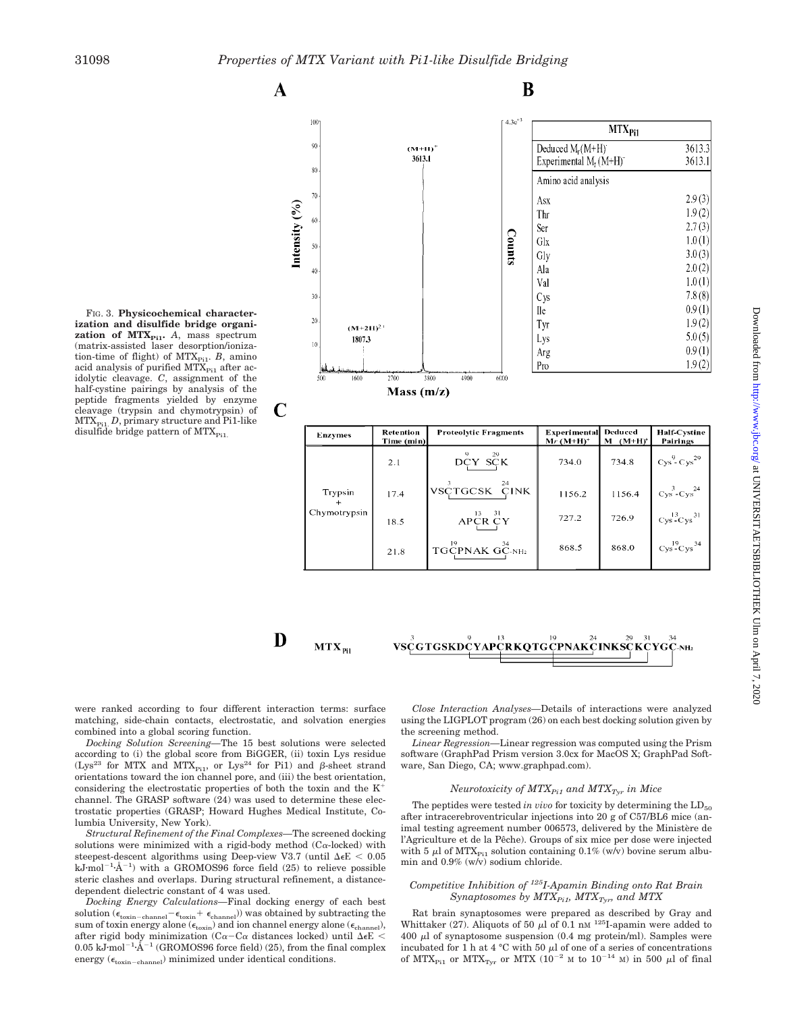$(M+1)$ 3613.1

 $\mathbf A$ 

100

 $90$ 

 $80$ 

 $70$ 

лŕ

 $\overline{30}$ 

 $\overline{20}$ 

 $(M+2H)^2$ 

Intensity  $(9/6)$ 



| .<br>1807.3<br>10<br>العاسينية فيستأني<br>500<br>1600 | 2700                    | 3800<br>4900<br>6000                                                                  | Lys<br>Arg<br>Pro                   |                          | 5.0(5)<br>0.9(1)<br>1.9(2)              |
|-------------------------------------------------------|-------------------------|---------------------------------------------------------------------------------------|-------------------------------------|--------------------------|-----------------------------------------|
|                                                       | Mass $(m/z)$            |                                                                                       |                                     |                          |                                         |
| <b>Enzymes</b>                                        | Retention<br>Time (min) | <b>Proteolytic Fragments</b>                                                          | <b>Experimental</b><br>$Mr (M+H)^+$ | Deduced<br>$M$ $(M+H)^+$ | <b>Half-Cystine</b><br>Pairings         |
| Trypsin<br>Chymotrypsin                               | 2.1                     | $\circ$<br>29<br>DCY SCK                                                              | 734.0                               | 734.8                    | $Cys9$ - $Cys29$                        |
|                                                       | 17.4                    | 24<br><b>VSCTGCSK</b><br><b>CINK</b>                                                  | 1156.2                              | 1156.4                   | $Cys$ - $Cys$ <sup>24</sup>             |
|                                                       | 18.5                    | $\mathsf{APCR} \overset{\mathsf{13}}{\mathsf{CY}} \overset{\mathsf{31}}{\mathsf{CY}}$ | 727.2                               | 726.9                    | $Cys$ <sup>13</sup> $Cys$ <sup>31</sup> |
|                                                       | 21.8                    | 19<br>34<br>TGCPNAK GC-NH2                                                            | 868.5                               | 868.0                    | $Cys$ <sup>19</sup> $Cys$ <sup>34</sup> |

B

Deduced M<sub>r</sub>(M+H)

Amino acid analysis

Asx

Thr

Ser

Glx

Gly

Ala

Val

Cys

**Ile** 

Tyr

Experimental  $M_r (M+H)^{-}$ 

**MTX<sub>Pi1</sub>** 

3613.3

3613.1

 $2.9(3)$ 

 $1.9(2)$ 

 $2.7(3)$ 

 $1.0(1)$ 

 $3.0(3)$ 

 $2.0(2)$ 

 $1.0(1)$ 

 $7.8(8)$ 

 $0.9(1)$ 

 $1.9(2)$ 

 $4.3e^{+3}$ 

Counts

D

were ranked according to four different interaction terms: surface matching, side-chain contacts, electrostatic, and solvation energies

*Docking Solution Screening—*The 15 best solutions were selected according to (i) the global score from BiGGER, (ii) toxin Lys residue  $(Lys^{23}$  for MTX and MTX<sub>Pi1</sub>, or  $Lys^{24}$  for Pi1) and  $\beta$ -sheet strand orientations toward the ion channel pore, and (iii) the best orientation, considering the electrostatic properties of both the toxin and the  $K^+$ channel. The GRASP software (24) was used to determine these electrostatic properties (GRASP; Howard Hughes Medical Institute, Co-

*Structural Refinement of the Final Complexes—*The screened docking solutions were minimized with a rigid-body method  $(C_{\alpha}\text{-locked})$  with steepest-descent algorithms using Deep-view V3.7 (until  $\Delta \epsilon E < 0.05$ )  $kJ \text{-} mol^{-1} \text{-} \AA^{-1}$  with a GROMOS96 force field (25) to relieve possible steric clashes and overlaps. During structural refinement, a distance-

*Docking Energy Calculations—*Final docking energy of each best solution ( $\epsilon_{\text{toxin-channel}} - \epsilon_{\text{toxin}} + \epsilon_{\text{channel}}$ )) was obtained by subtracting the sum of toxin energy alone ( $\epsilon_{\text{toxin}}$ ) and ion channel energy alone ( $\epsilon_{\text{channel}}$ ), after rigid body minimization  $(C\alpha - C\alpha)$  distances locked) until  $\Delta \epsilon E$  <  $0.05 \text{ kJ·mol}^{-1}$  (GROMOS96 force field) (25), from the final complex

energy  $(\epsilon_{\text{toxin-channel}})$  minimized under identical conditions.

combined into a global scoring function.

dependent dielectric constant of 4 was used.

lumbia University, New York).



 $MTX_{pi1}$ 

VSCGTGSKDCYAPCRKQTGCPNAKCINKSCKCYGC-NH2

*Close Interaction Analyses—*Details of interactions were analyzed using the LIGPLOT program (26) on each best docking solution given by the screening method.

*Linear Regression—*Linear regression was computed using the Prism software (GraphPad Prism version 3.0cx for MacOS X; GraphPad Software, San Diego, CA; www.graphpad.com).

#### *Neurotoxicity of MTX* $_{Pi1}$  *and MTX* $_{Tyr}$  *in Mice*

The peptides were tested *in vivo* for toxicity by determining the  $LD_{50}$ after intracerebroventricular injections into 20 g of C57/BL6 mice (animal testing agreement number 006573, delivered by the Ministère de l'Agriculture et de la Pêche). Groups of six mice per dose were injected with 5  $\mu$ l of MTX<sub>Pi1</sub> solution containing 0.1% (w/v) bovine serum albumin and 0.9% (w/v) sodium chloride.

#### *Competitive Inhibition of 125I-Apamin Binding onto Rat Brain Synaptosomes by*  $MTX_{Pi}$ *,*  $MTX_{Tvr}$ *, and MTX*

Rat brain synaptosomes were prepared as described by Gray and Whittaker (27). Aliquots of 50  $\mu$ l of 0.1 nM <sup>125</sup>I-apamin were added to  $400 \mu l$  of synaptosome suspension (0.4 mg protein/ml). Samples were incubated for 1 h at 4 °C with 50  $\mu$ l of one of a series of concentrations of  $MTX_{\text{Pi}}$  or  $MTX_{\text{Ivr}}$  or  $MTX$  (10<sup>-2</sup> M to 10<sup>-14</sup> M) in 500 µl of final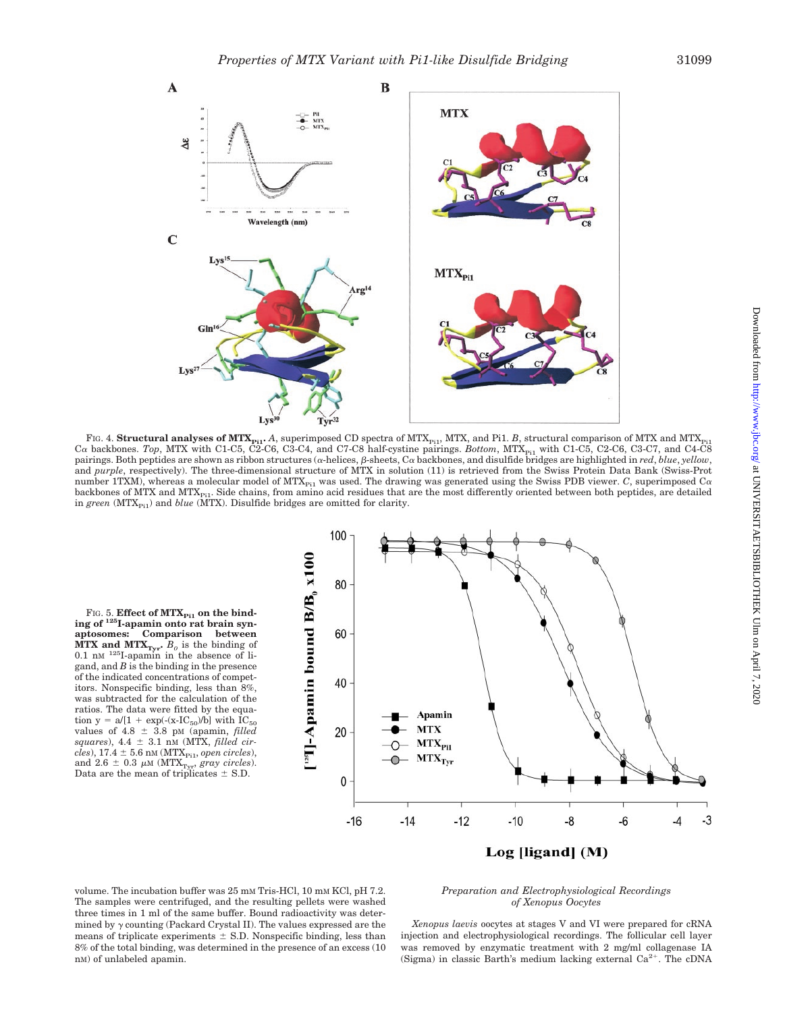

FIG. 4. **Structural analyses of MTX**<sub>Pi1</sub>. *A*, superimposed CD spectra of MTX<sub>Pi1</sub>, MTX, and Pi1. *B*, structural comparison of MTX and MTX<sub>Pi1</sub>  $C\alpha$  backbones. *Top*, MTX with C1-C5, C2-C6, C3-C4, and C7-C8 half-cystine pairings. *Bottom*, MTX<sub>Pi1</sub> with C1-C5, C2-C6, C3-C7, and C4-C8 pairings. Both peptides are shown as ribbon structures (a-helices,  $\beta$ -sheets, Ca backbones, and disulfide bridges are highlighted in *red*, *blue*, *yellow*, and *purple*, respectively). The three-dimensional structure of MTX in solution (11) is retrieved from the Swiss Protein Data Bank (Swiss-Prot number 1TXM), whereas a molecular model of MTX<sub>Pi1</sub> was used. The drawing was generated using the Swiss PDB viewer. *C*, superimposed C $\alpha$ backbones of MTX and MTX $_{pi1}$ . Side chains, from amino acid residues that are the most differently oriented between both peptides, are detailed in green (MTX<sub>Pi1</sub>) and *blue* (MTX). Disulfide bridges are omitted for clarity.

FIG. 5. **Effect of MTX**<sub>Pi1</sub> on the bind-<br> **ing of** <sup>125</sup>**I**-apamin onto rat brain syn**aptosomes: Comparison between MTX and MTX**<sub>Tyr</sub>.  $B_0$  is the binding of 0.1 nm<sup>125</sup>I-apamin in the absence of ligand, and *B* is the binding in the presence of the indicated concentrations of competitors. Nonspecific binding, less than 8%, was subtracted for the calculation of the ratios. The data were fitted by the equation y = a/[1 + exp(-(x-IC<sub>50</sub>)/b] with  $IC_{50}$ values of  $4.8 \pm 3.8$  pM (apamin, *filled squares*), 4.4 3.1 nM (MTX, *filled cir* $cles$ ), 17.4  $\pm$  5.6 nm (MTX<sub>Pi1</sub>, *open circles*), and  $2.6 \pm 0.3 \mu \text{M}$  (MTX<sub>Tyr</sub>, *gray circles*). Data are the mean of triplicates  $\pm$  S.D.



Log [ligand] (M)

volume. The incubation buffer was 25 mm Tris-HCl, 10 mm KCl, pH 7.2. The samples were centrifuged, and the resulting pellets were washed three times in 1 ml of the same buffer. Bound radioactivity was determined by  $\gamma$  counting (Packard Crystal II). The values expressed are the means of triplicate experiments  $\pm$  S.D. Nonspecific binding, less than 8% of the total binding, was determined in the presence of an excess (10 nM) of unlabeled apamin.

#### *Preparation and Electrophysiological Recordings of Xenopus Oocytes*

*Xenopus laevis* oocytes at stages V and VI were prepared for cRNA injection and electrophysiological recordings. The follicular cell layer was removed by enzymatic treatment with 2 mg/ml collagenase IA (Sigma) in classic Barth's medium lacking external  $Ca^{2+}$ . The cDNA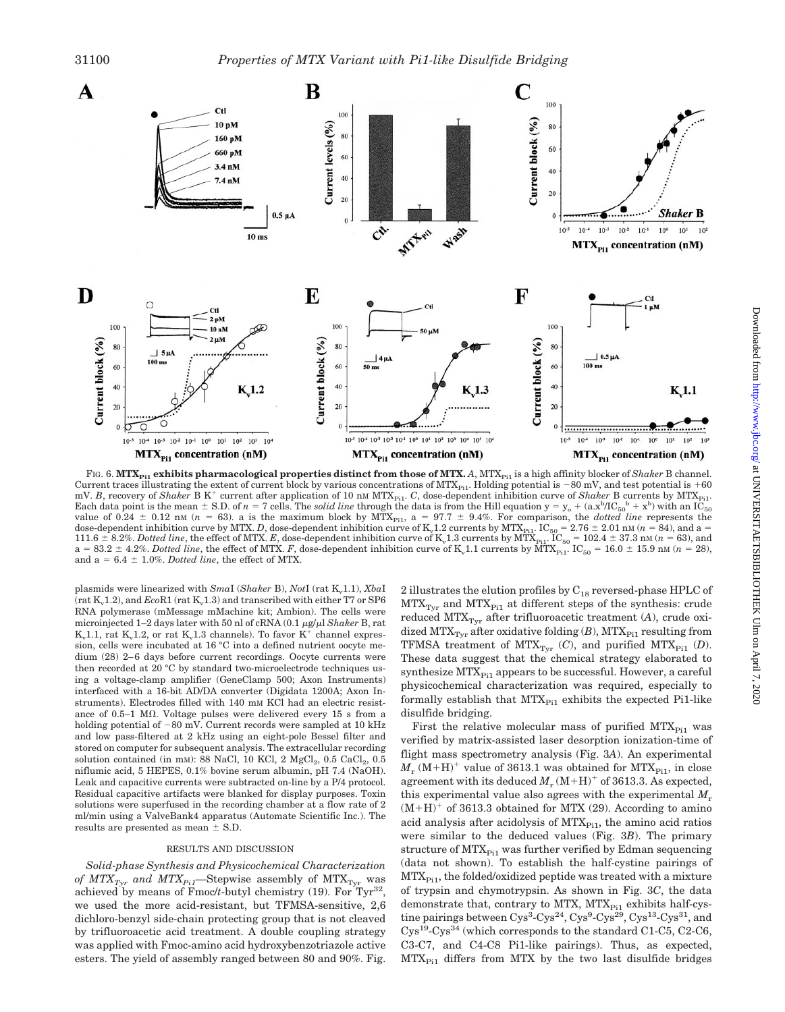

FIG. 6. MTX<sub>Pi1</sub> exhibits pharmacological properties distinct from those of MTX. *A*, MTX<sub>Pi1</sub> is a high affinity blocker of *Shaker* B channel. Current traces illustrating the extent of current block by various concentrations of  $MTX_{p_{11}}$ . Holding potential is  $-80$  mV, and test potential is  $+60$ mV. *B*, recovery of *Shaker* B K<sup>+</sup> current after application of 10 nm MTX<sub>Pi1</sub>. *C*, dose-dependent inhibition curve of *Shaker* B currents by MTX<sub>Pi1</sub>. Each data point is the mean  $\pm$  S.D. of  $n = 7$  cells. The *solid line* through the data is from the Hill equation  $y = y_0 + (a.x^b/IC_{50}^b + x^b)$  with an IC<sub>50</sub> value of  $0.24 \pm 0.12$  nM ( $n = 63$ ). a is the maximum block by MTX<sub>Pi1</sub>, a =  $97.7 \pm 9.4\%$ . For comparison, the *dotted line* represents the dose-dependent inhibition curve by MTX. *D*, dose-dependent inhibition curve of K<sub>v</sub>1.2 currents by MTX<sub>Pi1</sub>. IC<sub>50</sub> = 2.76  $\pm$  2.01 nM (*n* = 84), and a =  $111.6 \pm 8.2\%$ . *Dotted line*, the effect of MTX. *E*, dose-dependent inhibition curve of K<sub>v</sub>1.3 currents by MTX<sub>Pi1</sub>. IC<sub>50</sub> = 102.4  $\pm$  37.3 nM (*n* = 63), and  $a = 83.2 \pm 4.2\%$ . *Dotted line*, the effect of MTX. *F*, dose-dependent inhibition curve of K<sub>v</sub>1.1 currents by MTX<sub>Pi1</sub>. IC<sub>50</sub> = 16.0  $\pm$  15.9 nM (*n* = 28), and  $a = 6.4 \pm 1.0\%$ . *Dotted line*, the effect of MTX.

plasmids were linearized with *SmaI* (*Shaker* B), *NotI* (rat K<sub>v</sub>1.1), *XbaI* (rat  $K_v1.2$ ), and  $EcoR1$  (rat  $K_v1.3$ ) and transcribed with either T7 or SP6 RNA polymerase (mMessage mMachine kit; Ambion). The cells were microinjected  $1-2$  days later with 50 nl of cRNA  $(0.1 \mu g/\mu)$  *Shaker* B, rat  $K_v1.1$ , rat  $K_v1.2$ , or rat  $K_v1.3$  channels). To favor  $K^+$  channel expression, cells were incubated at 16 °C into a defined nutrient oocyte medium (28) 2–6 days before current recordings. Oocyte currents were then recorded at 20 °C by standard two-microelectrode techniques using a voltage-clamp amplifier (GeneClamp 500; Axon Instruments) interfaced with a 16-bit AD/DA converter (Digidata 1200A; Axon Instruments). Electrodes filled with 140 mM KCl had an electric resistance of  $0.5-1$  M $\Omega$ . Voltage pulses were delivered every 15 s from a holding potential of  $-80$  mV. Current records were sampled at 10 kHz and low pass-filtered at 2 kHz using an eight-pole Bessel filter and stored on computer for subsequent analysis. The extracellular recording solution contained (in mM): 88 NaCl, 10 KCl, 2  $MgCl<sub>2</sub>$ , 0.5  $CaCl<sub>2</sub>$ , 0.5 niflumic acid, 5 HEPES, 0.1% bovine serum albumin, pH 7.4 (NaOH). Leak and capacitive currents were subtracted on-line by a P/4 protocol. Residual capacitive artifacts were blanked for display purposes. Toxin solutions were superfused in the recording chamber at a flow rate of 2 ml/min using a ValveBank4 apparatus (Automate Scientific Inc.). The results are presented as mean  $\pm$  S.D.

#### RESULTS AND DISCUSSION

*Solid-phase Synthesis and Physicochemical Characterization of MTX<sub>Tyr</sub>* and MTX<sub>Pi1</sub>—Stepwise assembly of MTX<sub>Tyr</sub> was achieved by means of Fmoc/ $t$ -butyl chemistry (19). For Tyr<sup>32</sup>, we used the more acid-resistant, but TFMSA-sensitive, 2,6 dichloro-benzyl side-chain protecting group that is not cleaved by trifluoroacetic acid treatment. A double coupling strategy was applied with Fmoc-amino acid hydroxybenzotriazole active esters. The yield of assembly ranged between 80 and 90%. Fig.

2 illustrates the elution profiles by  $C_{18}$  reversed-phase HPLC of  $MTX<sub>Tvr</sub>$  and  $MTX<sub>Pi1</sub>$  at different steps of the synthesis: crude reduced  $MTX<sub>Tvr</sub>$  after trifluoroacetic treatment (A), crude oxidized  $MTX_{Tyr}$  after oxidative folding  $(B)$ ,  $MTX_{P11}$  resulting from TFMSA treatment of  $MTX_{\text{Tyr}}$  (*C*), and purified  $MTX_{\text{Pi}}$  (*D*). These data suggest that the chemical strategy elaborated to synthesize  $MTX_{Pi}$  appears to be successful. However, a careful physicochemical characterization was required, especially to formally establish that  $\rm MTX_{\rm{Pi}}$  exhibits the expected Pi1-like disulfide bridging.

First the relative molecular mass of purified  $MTX_{Pi1}$  was verified by matrix-assisted laser desorption ionization-time of flight mass spectrometry analysis (Fig. 3*A*). An experimental  $M_r$  (M+H)<sup>+</sup> value of 3613.1 was obtained for MTX<sub>Pi1</sub>, in close agreement with its deduced  $M_r (M+H)^+$  of 3613.3. As expected, this experimental value also agrees with the experimental *M*<sup>r</sup>  $(M+H)^+$  of 3613.3 obtained for MTX (29). According to amino acid analysis after acidolysis of MTX<sub>Pi1</sub>, the amino acid ratios were similar to the deduced values (Fig. 3*B*). The primary structure of  $MTX_{Pi}$  was further verified by Edman sequencing (data not shown). To establish the half-cystine pairings of  $MTX_{Pi1}$ , the folded/oxidized peptide was treated with a mixture of trypsin and chymotrypsin. As shown in Fig. 3*C*, the data demonstrate that, contrary to MTX, MTX<sub>Pi1</sub> exhibits half-cystine pairings between  $\text{Cys}^3$ - $\text{Cys}^{24}$ ,  $\text{Cys}^9$ - $\text{Cys}^{29}$ ,  $\text{Cys}^{13}$ - $\text{Cys}^{31}$ , and Cys19-Cys34 (which corresponds to the standard C1-C5, C2-C6, C3-C7, and C4-C8 Pi1-like pairings). Thus, as expected,  $MTX_{Pi1}$  differs from MTX by the two last disulfide bridges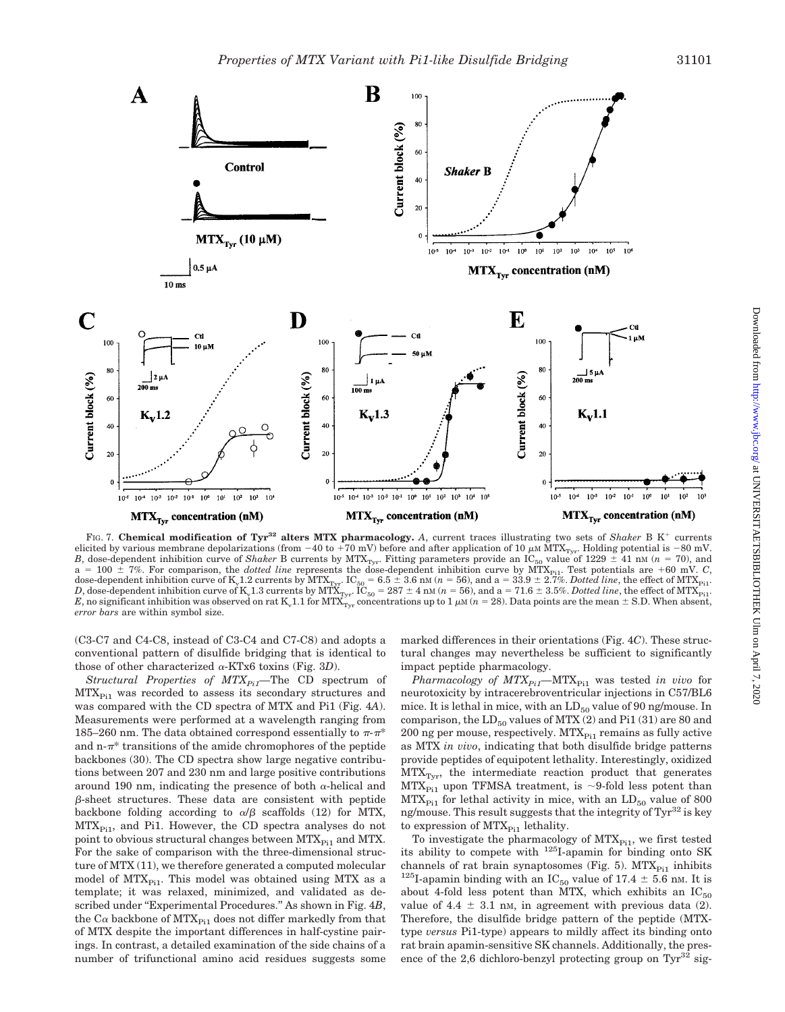

FIG. 7. Chemical modification of Tyr<sup>32</sup> alters MTX pharmacology. A, current traces illustrating two sets of *Shaker* B K<sup>+</sup> currents elicited by various membrane depolarizations (from  $-40$  to  $+70$  mV) before and after application of  $10 \mu$ m MTX<sub>Tyr</sub>. Holding potential is  $-80$  mV, *B*, dose-dependent inhibition curve of *Shaker* B currents by  $MTX_{Tyr}$ . Fitting parameters provide an IC<sub>50</sub> value of 1229  $\pm$  41 nm (*n* = 70), and  $a = 100 \pm 7\%$ . For comparison, the *dotted line* represents the dose-dependent inhibition curve by MTX<sub>Pi1</sub>. Test potentials are +60 mV. *C*, dose-dependent inhibition curve of K<sub>v</sub>1.2 currents by MTX<sub>Tyr</sub>. IC<sub>50</sub> = 6.5  $\pm$  3.6 nM (*n* = 56), and a = 33.9  $\pm$  2.7%. *Dotted line*, the effect of MTX<sub>Pi1</sub>. *D*, dose-dependent inhibition curve of K<sub>v</sub>1.3 currents by MTX<sub>Tyr</sub>. IC<sub>50</sub> = 287  $\pm$  4 nM (*n* = 56), and a = 71.6  $\pm$  3.5%*. Dotted line,* the effect of MTX<sub>Pi1</sub>. *E*, no significant inhibition was observed on rat K<sub>v</sub>1.1 for MTX<sub>Tyr</sub> concentrations up to 1  $\mu$ M (*n* = 28). Data points are the mean  $\pm$  S.D. When absent, *error bars* are within symbol size.

(C3-C7 and C4-C8, instead of C3-C4 and C7-C8) and adopts a conventional pattern of disulfide bridging that is identical to those of other characterized  $\alpha$ -KTx6 toxins (Fig. 3*D*).

*Structural Properties of MTX<sub>Pi1</sub>—The CD spectrum of*  $MTX_{Pi1}$  was recorded to assess its secondary structures and was compared with the CD spectra of MTX and Pi1 (Fig. 4*A*). Measurements were performed at a wavelength ranging from 185–260 nm. The data obtained correspond essentially to  $\pi$ - $\pi$ <sup>\*</sup> and  $n-\pi^*$  transitions of the amide chromophores of the peptide backbones (30). The CD spectra show large negative contributions between 207 and 230 nm and large positive contributions around 190 nm, indicating the presence of both  $\alpha$ -helical and  $\beta$ -sheet structures. These data are consistent with peptide backbone folding according to  $\alpha/\beta$  scaffolds (12) for MTX,  $MTX_{Pi1}$ , and Pi1. However, the CD spectra analyses do not point to obvious structural changes between  $MTX_{Pi1}$  and  $MTX$ . For the sake of comparison with the three-dimensional structure of MTX (11), we therefore generated a computed molecular model of  $MTX_{Pi1}$ . This model was obtained using MTX as a template; it was relaxed, minimized, and validated as described under "Experimental Procedures." As shown in Fig. 4*B*, the C $\alpha$  backbone of MTX<sub>Pi1</sub> does not differ markedly from that of MTX despite the important differences in half-cystine pairings. In contrast, a detailed examination of the side chains of a number of trifunctional amino acid residues suggests some

marked differences in their orientations (Fig. 4*C*). These structural changes may nevertheless be sufficient to significantly impact peptide pharmacology.

*Pharmacology of MTX<sub>Pi1</sub>—MTX<sub>Pi1</sub> was tested <i>in vivo* for neurotoxicity by intracerebroventricular injections in C57/BL6 mice. It is lethal in mice, with an  $LD_{50}$  value of 90 ng/mouse. In comparison, the  $LD_{50}$  values of MTX (2) and Pi1 (31) are 80 and 200 ng per mouse, respectively.  $MTX_{Pi1}$  remains as fully active as MTX *in vivo*, indicating that both disulfide bridge patterns provide peptides of equipotent lethality. Interestingly, oxidized  $MTX<sub>Tvr</sub>$ , the intermediate reaction product that generates  $\rm MTX_{Pi1}$  upon TFMSA treatment, is  ${\sim}$ 9-fold less potent than  $MTX_{Pi1}$  for lethal activity in mice, with an  $LD_{50}$  value of 800 ng/mouse. This result suggests that the integrity of  $\text{Tyr}^{32}$  is key to expression of  $MTX_{Pi1}$  lethality.

To investigate the pharmacology of  $MTX_{Pi1}$ , we first tested its ability to compete with 125I-apamin for binding onto SK channels of rat brain synaptosomes (Fig. 5). MTX<sub>Pi1</sub> inhibits <sup>125</sup>I-apamin binding with an IC<sub>50</sub> value of 17.4  $\pm$  5.6 nm. It is about 4-fold less potent than MTX, which exhibits an  $IC_{50}$ value of  $4.4 \pm 3.1$  nm, in agreement with previous data (2). Therefore, the disulfide bridge pattern of the peptide (MTXtype *versus* Pi1-type) appears to mildly affect its binding onto rat brain apamin-sensitive SK channels. Additionally, the presence of the 2,6 dichloro-benzyl protecting group on  $\text{Tr}^{32}$  sig-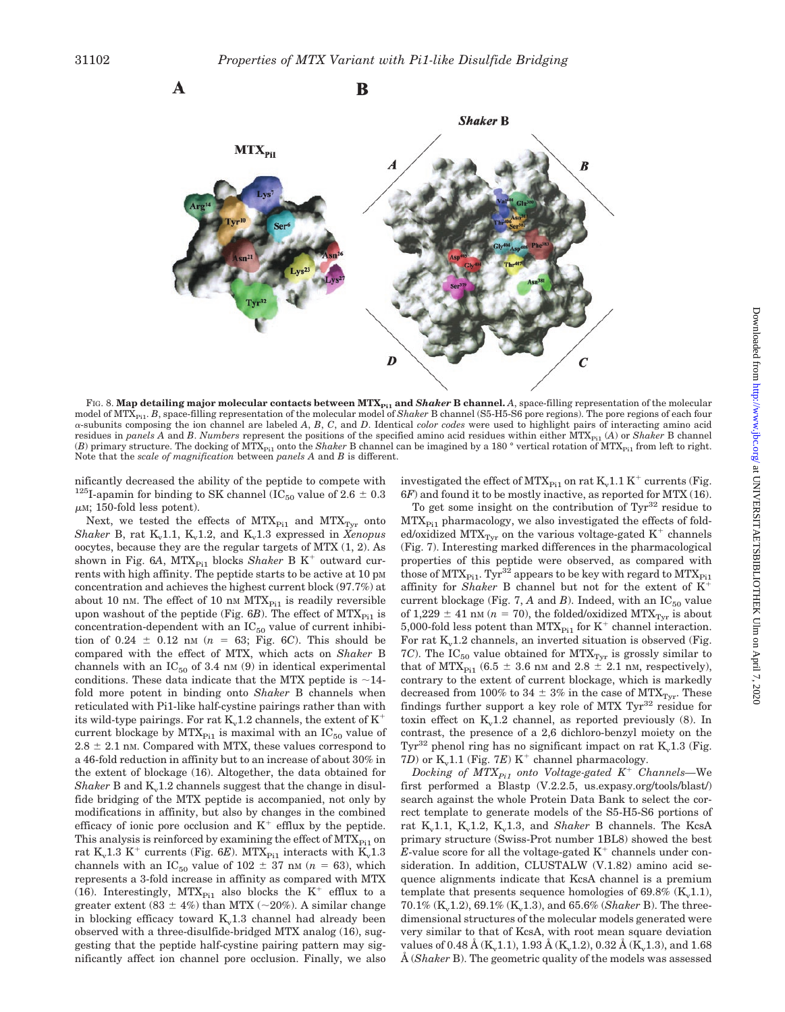

FIG. 8. Map detailing major molecular contacts between MTX<sub>P11</sub> and *Shaker* B channel. A, space-filling representation of the molecular model of MTX<sub>P11</sub>. *B*, space-filling representation of the molecular model of *Shaker* B channel (S5-H5-S6 pore regions). The pore regions of each four  $\alpha$ -subunits composing the ion channel are labeled *A*, *B*, *C*, and *D*. Identical *color codes* were used to highlight pairs of interacting amino acid residues in *panels A* and *B*. *Numbers* represent the positions of the specified amino acid residues within either MTX<sub>Pi1</sub> (*A*) or *Shaker* B channel (*B*) primary structure. The docking of MTX<sub>Pi1</sub> onto the *Shaker* B channel can be imagined by a 180 ° vertical rotation of MTX<sub>Pi1</sub> from left to right. Note that the *scale of magnification* between *panels A* and *B* is different.

nificantly decreased the ability of the peptide to compete with <sup>125</sup>I-apamin for binding to SK channel (IC<sub>50</sub> value of 2.6  $\pm$  0.3  $\mu$ M; 150-fold less potent).

Next, we tested the effects of  $MTX_{Pi1}$  and  $MTX_{Tyr}$  onto *Shaker* B, rat  $K_v1.1$ ,  $K_v1.2$ , and  $K_v1.3$  expressed in *Xenopus* oocytes, because they are the regular targets of MTX (1, 2). As shown in Fig. 6A,  $MTX_{P11}$  blocks *Shaker* B K<sup>+</sup> outward currents with high affinity. The peptide starts to be active at 10 pM concentration and achieves the highest current block (97.7%) at about 10 nm. The effect of 10 nm  $MTX_{Pi1}$  is readily reversible upon washout of the peptide (Fig.  $6B$ ). The effect of  $MTX_{Pi1}$  is concentration-dependent with an  $IC_{50}$  value of current inhibition of  $0.24 \pm 0.12$  nm ( $n = 63$ ; Fig. 6*C*). This should be compared with the effect of MTX, which acts on *Shaker* B channels with an  $IC_{50}$  of 3.4 nm (9) in identical experimental conditions. These data indicate that the MTX peptide is  $\sim$ 14fold more potent in binding onto *Shaker* B channels when reticulated with Pi1-like half-cystine pairings rather than with its wild-type pairings. For rat  $K_v1.2$  channels, the extent of  $K^+$ current blockage by  $MTX_{Pi1}$  is maximal with an  $IC_{50}$  value of  $2.8 \pm 2.1$  nm. Compared with MTX, these values correspond to a 46-fold reduction in affinity but to an increase of about 30% in the extent of blockage (16). Altogether, the data obtained for *Shaker* B and  $K_v1.2$  channels suggest that the change in disulfide bridging of the MTX peptide is accompanied, not only by modifications in affinity, but also by changes in the combined efficacy of ionic pore occlusion and  $K^+$  efflux by the peptide. This analysis is reinforced by examining the effect of  $MTX_{P<sub>i1</sub>}$  on rat  $K_v1.3 K^+$  currents (Fig. 6*E*). MTX<sub>Pi1</sub> interacts with  $K_v1.3$ channels with an IC<sub>50</sub> value of 102  $\pm$  37 nm (*n* = 63), which represents a 3-fold increase in affinity as compared with MTX (16). Interestingly,  $MTX_{Pi1}$  also blocks the K<sup>+</sup> efflux to a greater extent (83  $\pm$  4%) than MTX (~20%). A similar change in blocking efficacy toward  $K<sub>v</sub>1.3$  channel had already been observed with a three-disulfide-bridged MTX analog (16), suggesting that the peptide half-cystine pairing pattern may significantly affect ion channel pore occlusion. Finally, we also

investigated the effect of MTX<sub>Pi1</sub> on rat  $K_v1.1 K^+$  currents (Fig. 6*F*) and found it to be mostly inactive, as reported for MTX (16).

To get some insight on the contribution of  $\text{Tyr}^{32}$  residue to  $MTX<sub>Pi1</sub>$  pharmacology, we also investigated the effects of folded/oxidized MTX<sub>Tvr</sub> on the various voltage-gated  $K^+$  channels (Fig. 7). Interesting marked differences in the pharmacological properties of this peptide were observed, as compared with those of  $MTX_{Pi1}$ . Tyr<sup>32</sup> appears to be key with regard to  $MTX_{Pi1}$ affinity for *Shaker* B channel but not for the extent of K current blockage (Fig. 7,  $A$  and  $B$ ). Indeed, with an  $IC_{50}$  value of 1,229  $\pm$  41 nm (*n* = 70), the folded/oxidized MTX<sub>Tyr</sub> is about 5,000-fold less potent than MTX<sub>Pi1</sub> for K<sup>+</sup> channel interaction. For rat  $K_v1.2$  channels, an inverted situation is observed (Fig. 7*C*). The  $IC_{50}$  value obtained for  $MTX_{Tyr}$  is grossly similar to that of MTX<sub>Pi1</sub> (6.5  $\pm$  3.6 nm and 2.8  $\pm$  2.1 nm, respectively), contrary to the extent of current blockage, which is markedly decreased from 100% to 34  $\pm$  3% in the case of MTX<sub>Tyr</sub>. These findings further support a key role of MTX  $Tyr^{32}$  residue for toxin effect on  $K_v1.2$  channel, as reported previously (8). In contrast, the presence of a 2,6 dichloro-benzyl moiety on the Tyr<sup>32</sup> phenol ring has no significant impact on rat  $K_v1.3$  (Fig. 7*D*) or  $K_v1.1$  (Fig. 7*E*)  $K^+$  channel pharmacology.

*Docking of MTX<sub>Pi1</sub> onto Voltage-gated K<sup>+</sup> Channels*—We first performed a Blastp (V.2.2.5, us.expasy.org/tools/blast/) search against the whole Protein Data Bank to select the correct template to generate models of the S5-H5-S6 portions of rat K<sub>v</sub>1.1, K<sub>v</sub>1.2, K<sub>v</sub>1.3, and *Shaker* B channels. The KcsA primary structure (Swiss-Prot number 1BL8) showed the best *E*-value score for all the voltage-gated  $K^+$  channels under consideration. In addition, CLUSTALW (V.1.82) amino acid sequence alignments indicate that KcsA channel is a premium template that presents sequence homologies of  $69.8\%$  (K<sub>v</sub>1.1),  $70.1\%$  (K<sub>v</sub>1.2), 69.1% (K<sub>v</sub>1.3), and 65.6% (*Shaker* B). The threedimensional structures of the molecular models generated were very similar to that of KcsA, with root mean square deviation values of 0.48 Å (K<sub>v</sub>1.1), 1.93 Å (K<sub>v</sub>1.2), 0.32 Å (K<sub>v</sub>1.3), and 1.68 Å (*Shaker* B). The geometric quality of the models was assessed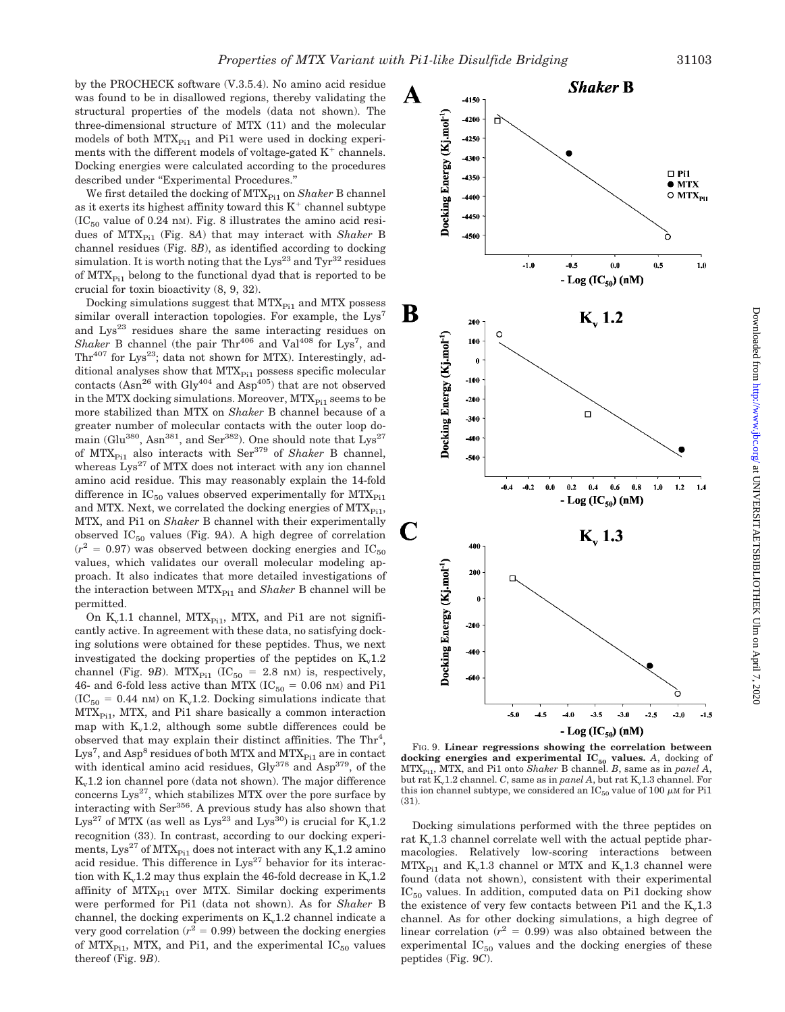described under ''Experimental Procedures.'' We first detailed the docking of MTX<sub>Pi1</sub> on *Shaker* B channel as it exerts its highest affinity toward this  $K^+$  channel subtype  $(IC_{50}$  value of 0.24 nm). Fig. 8 illustrates the amino acid residues of MTX<sub>Pi1</sub> (Fig. 8A) that may interact with *Shaker* B channel residues (Fig. 8*B*), as identified according to docking simulation. It is worth noting that the  $Lys^{23}$  and  $Tyr^{32}$  residues of  $MTX_{Pi1}$  belong to the functional dyad that is reported to be crucial for toxin bioactivity (8, 9, 32).

Docking energies were calculated according to the procedures

Docking simulations suggest that  $MTX_{Pi1}$  and  $MTX$  possess similar overall interaction topologies. For example, the Lys<sup>7</sup> and  $Lys^{23}$  residues share the same interacting residues on *Shaker* B channel (the pair  $Thr^{406}$  and  $Val^{408}$  for Lys<sup>7</sup>, and  $\text{Thr}^{407}$  for Lys<sup>23</sup>; data not shown for MTX). Interestingly, additional analyses show that  $MTX_{Pi1}$  possess specific molecular contacts (Asn<sup>26</sup> with Gly<sup>404</sup> and Asp<sup>405</sup>) that are not observed in the MTX docking simulations. Moreover,  $MTX_{P<sub>i1</sub>}$  seems to be more stabilized than MTX on *Shaker* B channel because of a greater number of molecular contacts with the outer loop domain (Glu<sup>380</sup>, Asn<sup>381</sup>, and Ser<sup>382</sup>). One should note that  $\text{Lys}^{27}$ of MTX<sub>Pi1</sub> also interacts with Ser<sup>379</sup> of *Shaker* B channel, whereas  $Lys^{27}$  of MTX does not interact with any ion channel amino acid residue. This may reasonably explain the 14-fold difference in  $IC_{50}$  values observed experimentally for  $MTX_{P11}$ and MTX. Next, we correlated the docking energies of  $MTX_{P<sub>i1</sub>}$ , MTX, and Pi1 on *Shaker* B channel with their experimentally observed  $IC_{50}$  values (Fig. 9A). A high degree of correlation  $(r^2 = 0.97)$  was observed between docking energies and IC<sub>50</sub> values, which validates our overall molecular modeling approach. It also indicates that more detailed investigations of the interaction between MTX<sub>Pi1</sub> and *Shaker* B channel will be permitted.

On  $K_v1.1$  channel, MTX<sub>Pi1</sub>, MTX, and Pi1 are not significantly active. In agreement with these data, no satisfying docking solutions were obtained for these peptides. Thus, we next investigated the docking properties of the peptides on  $K<sub>v</sub>1.2$ channel (Fig. 9*B*). MTX<sub>Pi1</sub> (IC<sub>50</sub> = 2.8 nM) is, respectively, 46- and 6-fold less active than MTX ( $IC_{50} = 0.06$  nM) and Pi1  $(IC_{50} = 0.44 \text{ nm})$  on K<sub>v</sub>1.2. Docking simulations indicate that  $MTX_{Pi1}$ , MTX, and Pi1 share basically a common interaction map with  $K_v1.2$ , although some subtle differences could be observed that may explain their distinct affinities. The  $Thr<sup>4</sup>$ ,  ${\rm Lys}^7$ , and  ${\rm Asp}^8$  residues of both MTX and MTX $_{\rm Pi1}$  are in contact with identical amino acid residues,  $\text{Gly}^{378}$  and  $\text{Asp}^{379}$ , of the  $K<sub>v</sub>1.2$  ion channel pore (data not shown). The major difference concerns  $Lys^{27}$ , which stabilizes MTX over the pore surface by interacting with Ser356. A previous study has also shown that Lys<sup>27</sup> of MTX (as well as Lys<sup>23</sup> and Lys<sup>30</sup>) is crucial for  $K_v1.2$ recognition (33). In contrast, according to our docking experiments, Lys<sup>27</sup> of MTX<sub>Pi1</sub> does not interact with any K<sub>v</sub>1.2 amino acid residue. This difference in  $Lys^{27}$  behavior for its interaction with  $K_v1.2$  may thus explain the 46-fold decrease in  $K_v1.2$ affinity of  $MTX_{Pi1}$  over MTX. Similar docking experiments were performed for Pi1 (data not shown). As for *Shaker* B channel, the docking experiments on  $K_v1.2$  channel indicate a very good correlation  $(r^2 = 0.99)$  between the docking energies of MTX<sub>Pi1</sub>, MTX, and Pi1, and the experimental  $IC_{50}$  values thereof (Fig. 9*B*).



Docking simulations performed with the three peptides on rat  $K<sub>v</sub>1.3$  channel correlate well with the actual peptide pharmacologies. Relatively low-scoring interactions between  $MTX_{Pi1}$  and  $K_v1.3$  channel or MTX and  $K_v1.3$  channel were found (data not shown), consistent with their experimental  $IC_{50}$  values. In addition, computed data on Pi1 docking show the existence of very few contacts between  $Pi$  and the  $K<sub>v</sub>1.3$ channel. As for other docking simulations, a high degree of linear correlation  $(r^2 = 0.99)$  was also obtained between the experimental  $IC_{50}$  values and the docking energies of these peptides (Fig. 9*C*).

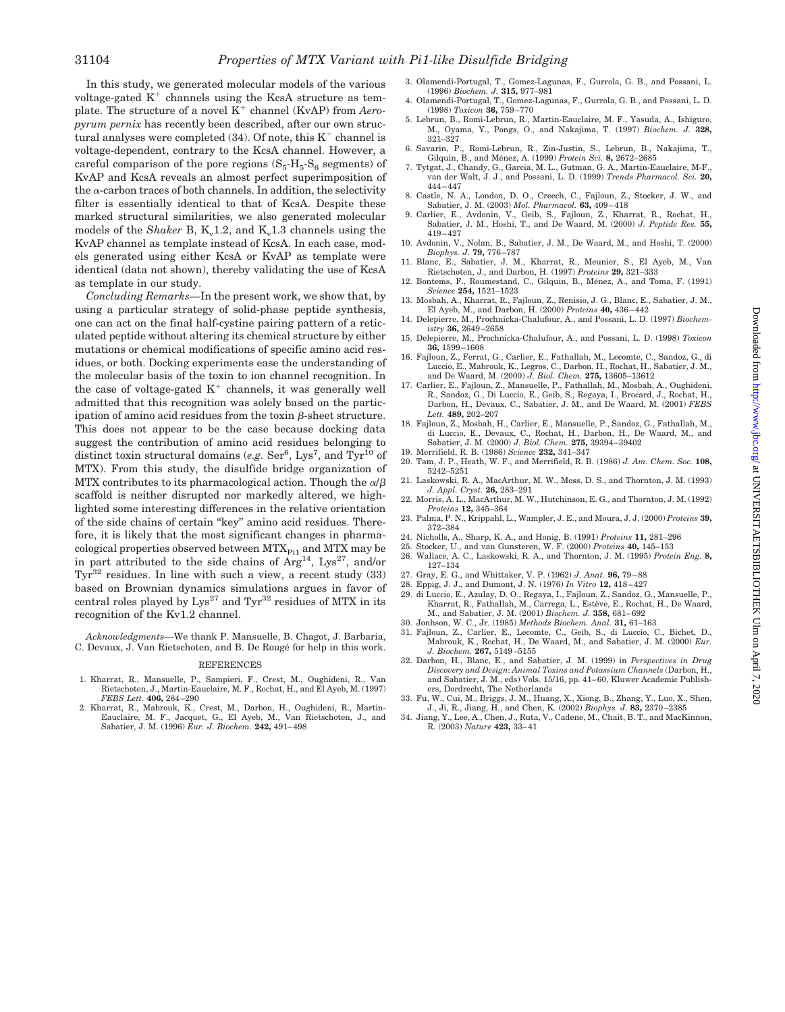In this study, we generated molecular models of the various voltage-gated  $K^+$  channels using the KcsA structure as template. The structure of a novel K<sup>+</sup> channel (KvAP) from *Aeropyrum pernix* has recently been described, after our own structural analyses were completed  $(34)$ . Of note, this  $K^+$  channel is voltage-dependent, contrary to the KcsA channel. However, a careful comparison of the pore regions  $(S_5-H_5-S_6$  segments) of KvAP and KcsA reveals an almost perfect superimposition of the  $\alpha$ -carbon traces of both channels. In addition, the selectivity filter is essentially identical to that of KcsA. Despite these marked structural similarities, we also generated molecular models of the *Shaker* B,  $K_v1.2$ , and  $K_v1.3$  channels using the KvAP channel as template instead of KcsA. In each case, models generated using either KcsA or KvAP as template were identical (data not shown), thereby validating the use of KcsA as template in our study.

*Concluding Remarks—*In the present work, we show that, by using a particular strategy of solid-phase peptide synthesis, one can act on the final half-cystine pairing pattern of a reticulated peptide without altering its chemical structure by either mutations or chemical modifications of specific amino acid residues, or both. Docking experiments ease the understanding of the molecular basis of the toxin to ion channel recognition. In the case of voltage-gated  $K^+$  channels, it was generally well admitted that this recognition was solely based on the participation of amino acid residues from the toxin  $\beta$ -sheet structure. This does not appear to be the case because docking data suggest the contribution of amino acid residues belonging to distinct toxin structural domains (*e.g.* Ser<sup>6</sup>, Lys<sup>7</sup>, and  $Tyr^{10}$  of MTX). From this study, the disulfide bridge organization of MTX contributes to its pharmacological action. Though the  $\alpha/\beta$ scaffold is neither disrupted nor markedly altered, we highlighted some interesting differences in the relative orientation of the side chains of certain ''key'' amino acid residues. Therefore, it is likely that the most significant changes in pharmacological properties observed between  $MTX_{Pi1}$  and  $MTX$  may be in part attributed to the side chains of  $Arg<sup>14</sup>$ , Lys<sup>27</sup>, and/or  $Tyr^{32}$  residues. In line with such a view, a recent study (33) based on Brownian dynamics simulations argues in favor of central roles played by  $Lys^{27}$  and  $Tyr^{32}$  residues of MTX in its recognition of the Kv1.2 channel.

*Acknowledgments—*We thank P. Mansuelle, B. Chagot, J. Barbaria, C. Devaux, J. Van Rietschoten, and B. De Rougé for help in this work.

#### REFERENCES

- 1. Kharrat, R., Mansuelle, P., Sampieri, F., Crest, M., Oughideni, R., Van Rietschoten, J., Martin-Eauclaire, M. F., Rochat, H., and El Ayeb, M. (1997) *FEBS Lett.* **406,** 284–290
- 2. Kharrat, R., Mabrouk, K., Crest, M., Darbon, H., Oughideni, R., Martin-Eauclaire, M. F., Jacquet, G., El Ayeb, M., Van Rietschoten, J., and Sabatier, J. M. (1996) *Eur. J. Biochem.* **242,** 491–498
- 3. Olamendi-Portugal, T., Gomez-Lagunas, F., Gurrola, G. B., and Possani, L. (1996) *Biochem. J.* **315,** 977–981
- 4. Olamendi-Portugal, T., Gomez-Lagunas, F., Gurrola, G. B., and Possani, L. D. (1998) *Toxicon* **36,** 759–770
- 5. Lebrun, B., Romi-Lebrun, R., Martin-Eauclaire, M. F., Yasuda, A., Ishiguro, M., Oyama, Y., Pongs, O., and Nakajima, T. (1997) *Biochem. J.* **328,** 321–327
- 6. Savarin, P., Romi-Lebrun, R., Zin-Justin, S., Lebrun, B., Nakajima, T., Gilquin, B., and Me´nez, A. (1999) *Protein Sci.* **8,** 2672–2685
- 7. Tytgat, J., Chandy, G., Garcia, M. L., Gutman, G. A., Martin-Eauclaire, M-F., van der Walt, J. J., and Possani, L. D. (1999) *Trends Pharmacol. Sci.* **20,** 444–447
- 8. Castle, N. A., London, D. O., Creech, C., Fajloun, Z., Stocker, J. W., and Sabatier, J. M. (2003) *Mol. Pharmacol.* **63,** 409–418
- 9. Carlier, E., Avdonin, V., Geib, S., Fajloun, Z., Kharrat, R., Rochat, H., Sabatier, J. M., Hoshi, T., and De Waard, M. (2000) *J. Peptide Res.* **55,** 419–427
- 10. Avdonin, V., Nolan, B., Sabatier, J. M., De Waard, M., and Hoshi, T. (2000) *Biophys. J.* **79,** 776–787 11. Blanc, E., Sabatier, J. M., Kharrat, R., Meunier, S., El Ayeb, M., Van
- Rietschoten, J., and Darbon, H. (1997) *Proteins* **29,** 321–333
- 12. Bontems, F., Roumestand, C., Gilquin, B., Ménez, A., and Toma, F. (1991) *Science* **254,** 1521–1523
- 13. Mosbah, A., Kharrat, R., Fajloun, Z., Renisio, J. G., Blanc, E., Sabatier, J. M., El Ayeb, M., and Darbon, H. (2000) *Proteins* **40,** 436–442
- 14. Delepierre, M., Prochnicka-Chalufour, A., and Possani, L. D. (1997) *Biochemistry* **36,** 2649–2658
- 15. Delepierre, M., Prochnicka-Chalufour, A., and Possani, L. D. (1998) *Toxicon* **36,** 1599–1608
- 16. Fajloun, Z., Ferrat, G., Carlier, E., Fathallah, M., Lecomte, C., Sandoz, G., di Luccio, E., Mabrouk, K., Legros, C., Darbon, H., Rochat, H., Sabatier, J. M., and De Waard, M. (2000) *J. Biol. Chem.* **275,** 13605–13612
- 17. Carlier, E., Fajloun, Z., Mansuelle, P., Fathallah, M., Mosbah, A., Oughideni, R., Sandoz, G., Di Luccio, E., Geib, S., Regaya, I., Brocard, J., Rochat, H., Darbon, H., Devaux, C., Sabatier, J. M., and De Waard, M. (2001) *FEBS Lett.* **489,** 202–207
- 18. Fajloun, Z., Mosbah, H., Carlier, E., Mansuelle, P., Sandoz, G., Fathallah, M., di Luccio, E., Devaux, C., Rochat, H., Darbon, H., De Waard, M., and Sabatier, J. M. (2000) *J. Biol. Chem.* **275,** 39394–39402
- 19. Merrifield, R. B. (1986) *Science* **232,** 341–347 20. Tam, J. P., Heath, W. F., and Merrifield, R. B. (1986) *J. Am. Chem. Soc.* **108,**
- 5242–5251 21. Laskowski, R. A., MacArthur, M. W., Moss, D. S., and Thornton, J. M. (1993)
- *J. Appl. Cryst.* **26,** 283–291 22. Morris, A. L., MacArthur, M. W., Hutchinson, E. G., and Thornton, J. M. (1992)
- *Proteins* **12,** 345–364 23. Palma, P. N., Krippahl, L., Wampler, J. E., and Moura, J. J. (2000) *Proteins* **39,** 372–384
- 24. Nicholls, A., Sharp, K. A., and Honig, B. (1991) *Proteins* **11,** 281–296 25. Stocker, U., and van Gunsteren, W. F. (2000) *Proteins* **40,** 145–153
- 
- 26. Wallace, A. C., Laskowski, R. A., and Thornton, J. M. (1995) *Protein Eng.* **8,** 127–134
- 27. Gray, E. G., and Whittaker, V. P. (1962) *J. Anat.* **96,** 79–88
- 28. Eppig, J. J., and Dumont, J. N. (1976) *In Vitro* **12,** 418–427
- 29. di Luccio, E., Azulay, D. O., Regaya, I., Fajloun, Z., Sandoz, G., Mansuelle, P., Kharrat, R., Fathallah, M., Carrega, L., Estève, E., Rochat, H., De Waard, M., and Sabatier, J. M. (2001) *Biochem. J.* **358,** 681–692
- 30. Jonhson, W. C., Jr. (1985) *Methods Biochem. Anal.* **31,** 61–163
- 31. Fajloun, Z., Carlier, E., Lecomte, C., Geib, S., di Luccio, C., Bichet, D., Mabrouk, K., Rochat, H., De Waard, M., and Sabatier, J. M. (2000) *Eur. J. Biochem.* **267,** 5149–5155
- 32. Darbon, H., Blanc, E., and Sabatier, J. M. (1999) in *Perspectives in Drug Discovery and Design*: *Animal Toxins and Potassium Channels* (Darbon, H., and Sabatier, J. M., eds) Vols. 15/16, pp. 41–60, Kluwer Academic Publishers, Dordrecht, The Netherlands
- 33. Fu, W., Cui, M., Briggs, J. M., Huang, X., Xiong, B., Zhang, Y., Luo, X., Shen, J., Ji, R., Jiang, H., and Chen, K. (2002) *Biophys. J.* **83,** 2370–2385
- 34. Jiang, Y., Lee, A., Chen, J., Ruta, V., Cadene, M., Chait, B. T., and MacKinnon, R. (2003) *Nature* **423,** 33–41